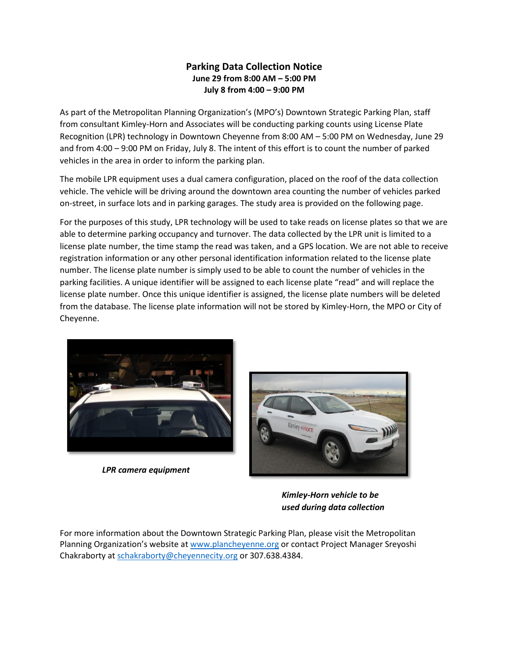## **Parking Data Collection Notice June 29 from 8:00 AM – 5:00 PM July 8 from 4:00 – 9:00 PM**

As part of the Metropolitan Planning Organization's (MPO's) Downtown Strategic Parking Plan, staff from consultant Kimley-Horn and Associates will be conducting parking counts using License Plate Recognition (LPR) technology in Downtown Cheyenne from 8:00 AM – 5:00 PM on Wednesday, June 29 and from 4:00 – 9:00 PM on Friday, July 8. The intent of this effort is to count the number of parked vehicles in the area in order to inform the parking plan.

The mobile LPR equipment uses a dual camera configuration, placed on the roof of the data collection vehicle. The vehicle will be driving around the downtown area counting the number of vehicles parked on-street, in surface lots and in parking garages. The study area is provided on the following page.

For the purposes of this study, LPR technology will be used to take reads on license plates so that we are able to determine parking occupancy and turnover. The data collected by the LPR unit is limited to a license plate number, the time stamp the read was taken, and a GPS location. We are not able to receive registration information or any other personal identification information related to the license plate number. The license plate number is simply used to be able to count the number of vehicles in the parking facilities. A unique identifier will be assigned to each license plate "read" and will replace the license plate number. Once this unique identifier is assigned, the license plate numbers will be deleted from the database. The license plate information will not be stored by Kimley-Horn, the MPO or City of Cheyenne.



*LPR camera equipment*



*Kimley-Horn vehicle to be used during data collection*

For more information about the Downtown Strategic Parking Plan, please visit the Metropolitan Planning Organization's website at [www.plancheyenne.org](http://www.plancheyenne.org/) or contact Project Manager Sreyoshi Chakraborty at [schakraborty@cheyennecity.org](mailto:schakraborty@cheyennecity.org) or 307.638.4384.